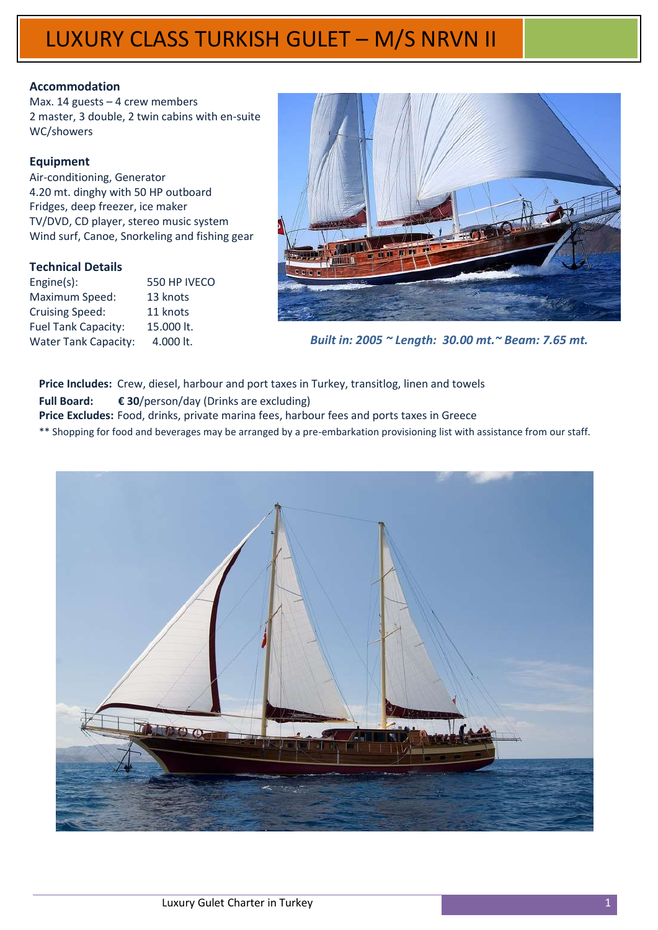### **Accommodation**

Max. 14 guests – 4 crew members 2 master, 3 double, 2 twin cabins with en-suite WC/showers

### **Equipment**

Air-conditioning, Generator 4.20 mt. dinghy with 50 HP outboard Fridges, deep freezer, ice maker TV/DVD, CD player, stereo music system Wind surf, Canoe, Snorkeling and fishing gear

#### **Technical Details**

| Engine(s):                  | 550 HP IVECO |
|-----------------------------|--------------|
| Maximum Speed:              | 13 knots     |
| <b>Cruising Speed:</b>      | 11 knots     |
| <b>Fuel Tank Capacity:</b>  | 15.000 lt.   |
| <b>Water Tank Capacity:</b> | 4.000 lt.    |
|                             |              |



Built in: 2005 ~ Length: 30.00 mt. *~ Beam: 7.65 mt.* 

**Price Includes:** Crew, diesel, harbour and port taxes in Turkey, transitlog, linen and towels

**Full Board: € 30**/person/day (Drinks are excluding)

**Price Excludes:** Food, drinks, private marina fees, harbour fees and ports taxes in Greece

\*\* Shopping for food and beverages may be arranged by a pre-embarkation provisioning list with assistance from our staff.

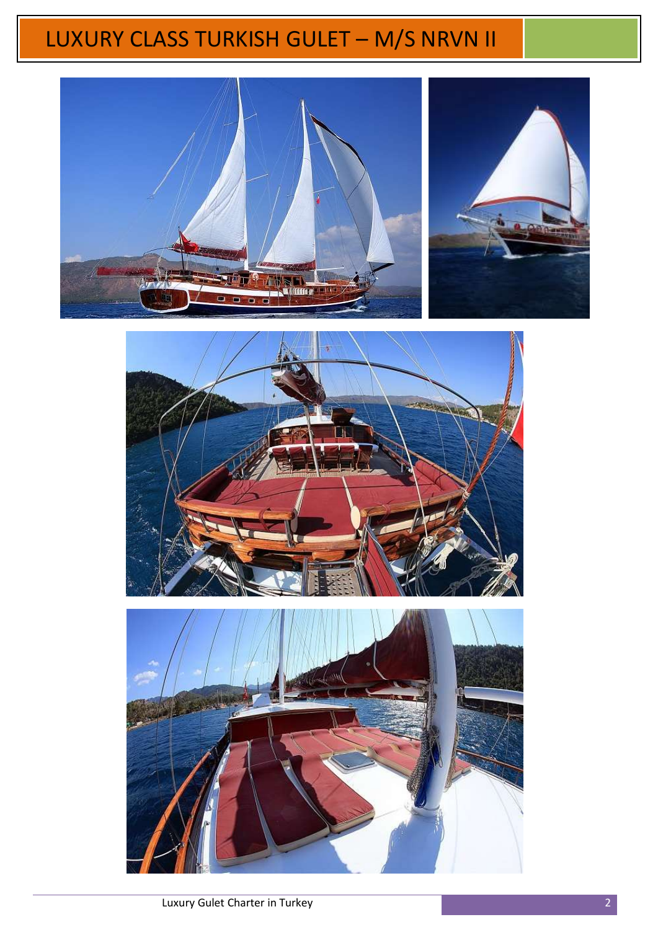



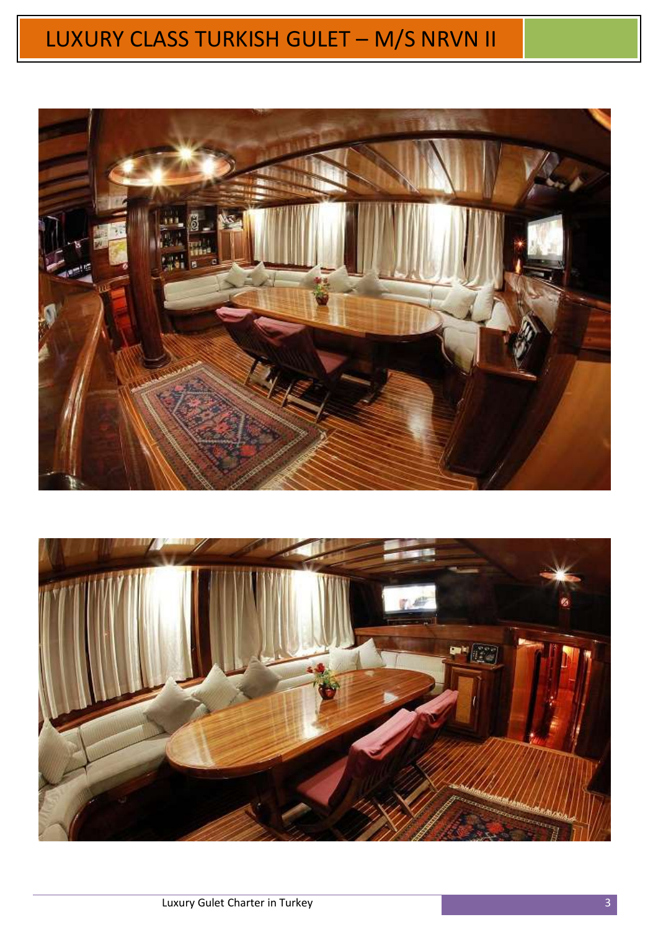

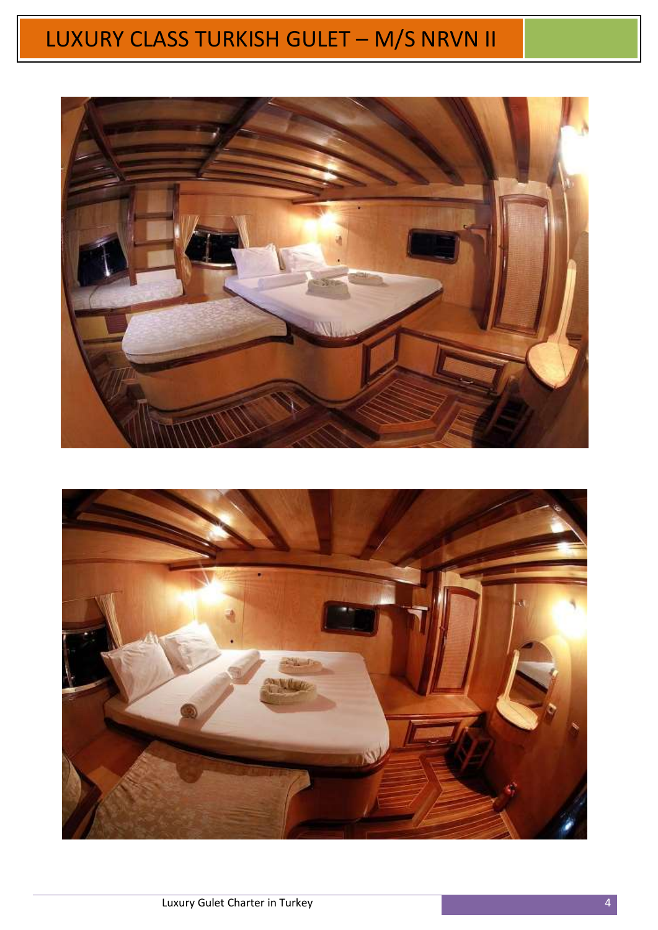